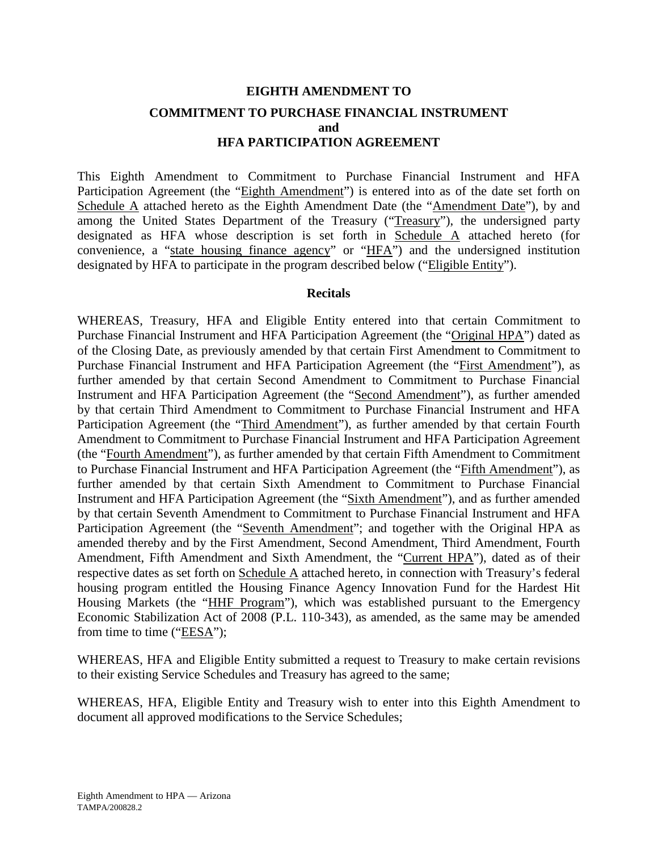# **EIGHTH AMENDMENT TO COMMITMENT TO PURCHASE FINANCIAL INSTRUMENT and HFA PARTICIPATION AGREEMENT**

This Eighth Amendment to Commitment to Purchase Financial Instrument and HFA Participation Agreement (the "Eighth Amendment") is entered into as of the date set forth on Schedule A attached hereto as the Eighth Amendment Date (the "Amendment Date"), by and among the United States Department of the Treasury ("Treasury"), the undersigned party designated as HFA whose description is set forth in Schedule A attached hereto (for convenience, a "state housing finance agency" or "HFA") and the undersigned institution designated by HFA to participate in the program described below ("Eligible Entity").

#### **Recitals**

WHEREAS, Treasury, HFA and Eligible Entity entered into that certain Commitment to Purchase Financial Instrument and HFA Participation Agreement (the "Original HPA") dated as of the Closing Date, as previously amended by that certain First Amendment to Commitment to Purchase Financial Instrument and HFA Participation Agreement (the "First Amendment"), as further amended by that certain Second Amendment to Commitment to Purchase Financial Instrument and HFA Participation Agreement (the "Second Amendment"), as further amended by that certain Third Amendment to Commitment to Purchase Financial Instrument and HFA Participation Agreement (the "Third Amendment"), as further amended by that certain Fourth Amendment to Commitment to Purchase Financial Instrument and HFA Participation Agreement (the "Fourth Amendment"), as further amended by that certain Fifth Amendment to Commitment to Purchase Financial Instrument and HFA Participation Agreement (the "Fifth Amendment"), as further amended by that certain Sixth Amendment to Commitment to Purchase Financial Instrument and HFA Participation Agreement (the "Sixth Amendment"), and as further amended by that certain Seventh Amendment to Commitment to Purchase Financial Instrument and HFA Participation Agreement (the "Seventh Amendment"; and together with the Original HPA as amended thereby and by the First Amendment, Second Amendment, Third Amendment, Fourth Amendment, Fifth Amendment and Sixth Amendment, the "Current HPA"), dated as of their respective dates as set forth on Schedule A attached hereto, in connection with Treasury's federal housing program entitled the Housing Finance Agency Innovation Fund for the Hardest Hit Housing Markets (the "HHF Program"), which was established pursuant to the Emergency Economic Stabilization Act of 2008 (P.L. 110-343), as amended, as the same may be amended from time to time ("EESA");

WHEREAS, HFA and Eligible Entity submitted a request to Treasury to make certain revisions to their existing Service Schedules and Treasury has agreed to the same;

WHEREAS, HFA, Eligible Entity and Treasury wish to enter into this Eighth Amendment to document all approved modifications to the Service Schedules;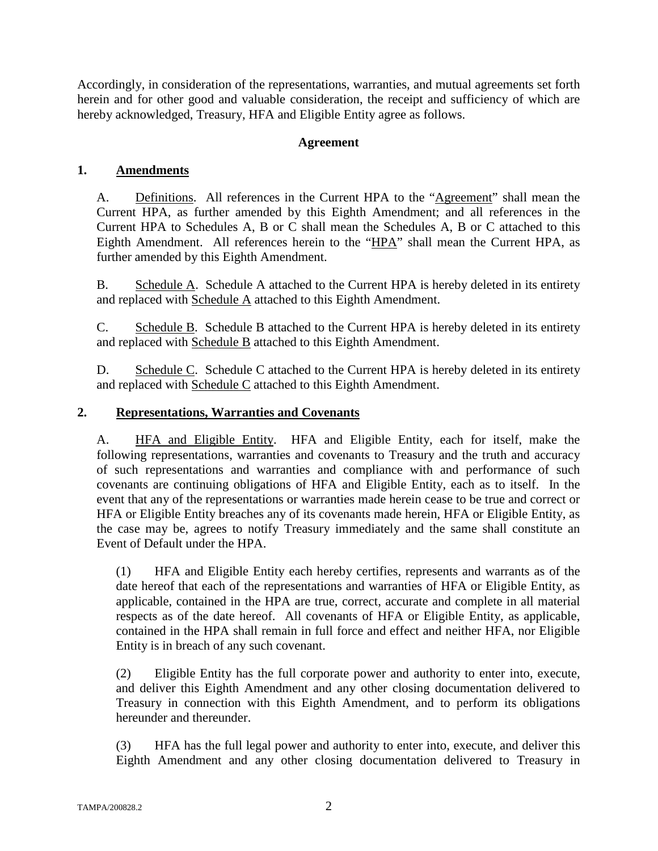Accordingly, in consideration of the representations, warranties, and mutual agreements set forth herein and for other good and valuable consideration, the receipt and sufficiency of which are hereby acknowledged, Treasury, HFA and Eligible Entity agree as follows.

### **Agreement**

### **1. Amendments**

A. Definitions. All references in the Current HPA to the "Agreement" shall mean the Current HPA, as further amended by this Eighth Amendment; and all references in the Current HPA to Schedules A, B or C shall mean the Schedules A, B or C attached to this Eighth Amendment. All references herein to the "HPA" shall mean the Current HPA, as further amended by this Eighth Amendment.

B. Schedule A. Schedule A attached to the Current HPA is hereby deleted in its entirety and replaced with Schedule A attached to this Eighth Amendment.

C. Schedule B. Schedule B attached to the Current HPA is hereby deleted in its entirety and replaced with Schedule B attached to this Eighth Amendment.

D. Schedule C. Schedule C attached to the Current HPA is hereby deleted in its entirety and replaced with Schedule C attached to this Eighth Amendment.

#### **2. Representations, Warranties and Covenants**

A. HFA and Eligible Entity. HFA and Eligible Entity, each for itself, make the following representations, warranties and covenants to Treasury and the truth and accuracy of such representations and warranties and compliance with and performance of such covenants are continuing obligations of HFA and Eligible Entity, each as to itself. In the event that any of the representations or warranties made herein cease to be true and correct or HFA or Eligible Entity breaches any of its covenants made herein, HFA or Eligible Entity, as the case may be, agrees to notify Treasury immediately and the same shall constitute an Event of Default under the HPA.

(1) HFA and Eligible Entity each hereby certifies, represents and warrants as of the date hereof that each of the representations and warranties of HFA or Eligible Entity, as applicable, contained in the HPA are true, correct, accurate and complete in all material respects as of the date hereof. All covenants of HFA or Eligible Entity, as applicable, contained in the HPA shall remain in full force and effect and neither HFA, nor Eligible Entity is in breach of any such covenant.

(2) Eligible Entity has the full corporate power and authority to enter into, execute, and deliver this Eighth Amendment and any other closing documentation delivered to Treasury in connection with this Eighth Amendment, and to perform its obligations hereunder and thereunder.

(3) HFA has the full legal power and authority to enter into, execute, and deliver this Eighth Amendment and any other closing documentation delivered to Treasury in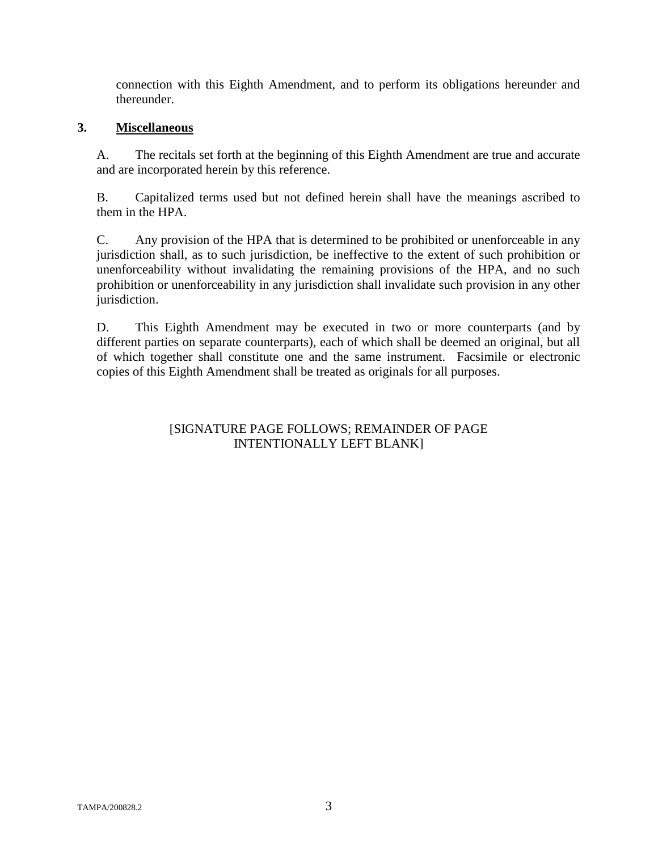connection with this Eighth Amendment, and to perform its obligations hereunder and thereunder.

#### **3. Miscellaneous**

A. The recitals set forth at the beginning of this Eighth Amendment are true and accurate and are incorporated herein by this reference.

B. Capitalized terms used but not defined herein shall have the meanings ascribed to them in the HPA.

C. Any provision of the HPA that is determined to be prohibited or unenforceable in any jurisdiction shall, as to such jurisdiction, be ineffective to the extent of such prohibition or unenforceability without invalidating the remaining provisions of the HPA, and no such prohibition or unenforceability in any jurisdiction shall invalidate such provision in any other jurisdiction.

D. This Eighth Amendment may be executed in two or more counterparts (and by different parties on separate counterparts), each of which shall be deemed an original, but all of which together shall constitute one and the same instrument. Facsimile or electronic copies of this Eighth Amendment shall be treated as originals for all purposes.

## [SIGNATURE PAGE FOLLOWS; REMAINDER OF PAGE INTENTIONALLY LEFT BLANK]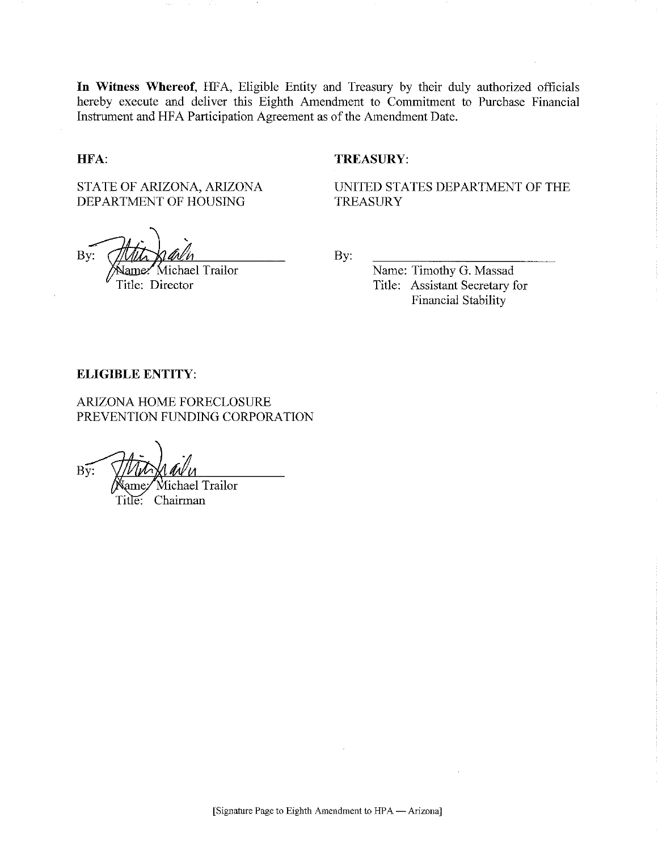In Witness Whereof, HFA, Eligible Entity and Treasury by their duly authorized officials hereby execute and deliver this Eighth Amendment to Commitment to Purchase Financial Instrument and HFA Participation Agreement as of the Amendment Date.

#### HFA:

#### **TREASURY:**

STATE OF ARIZONA, ARIZONA DEPARTMENT OF HOUSING

Bv:

Michael Trailor /ame Title: Director

UNITED STATES DEPARTMENT OF THE **TREASURY** 

By:

Name: Timothy G. Massad Title: Assistant Secretary for **Financial Stability** 

#### **ELIGIBLE ENTITY:**

ARIZONA HOME FORECLOSURE PREVENTION FUNDING CORPORATION

 $B\overline{v}$ : Michael Trailor

Title: Chairman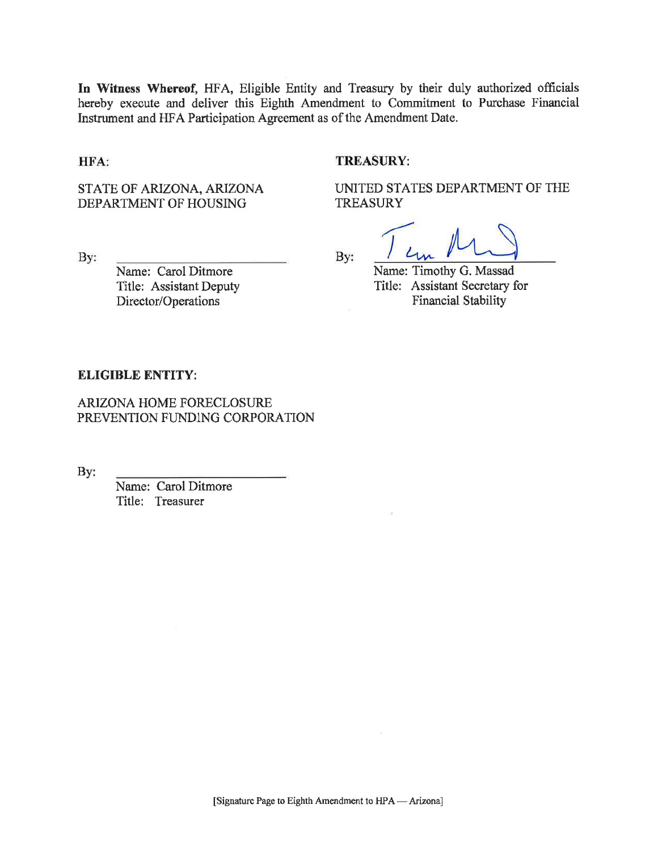In Witness Whereof, HFA, Eligible Entity and Treasury by their duly authorized officials hereby execute and deliver this Eighth Amendment to Commitment to Purchase Financial Instrument and HFA Participation Agreement as of the Amendment Date.

#### HFA:

#### **TREASURY:**

STATE OF ARIZONA, ARIZONA DEPARTMENT OF HOUSING

UNITED STATES DEPARTMENT OF THE **TREASURY** 

By:

Name: Carol Ditmore Title: Assistant Deputy Director/Operations

By:

Name: Timothy G. Massad Title: Assistant Secretary for Financial Stability

#### **ELIGIBLE ENTITY:**

ARIZONA HOME FORECLOSURE PREVENTION FUNDING CORPORATION

By:

Name: Carol Ditmore Title: Treasurer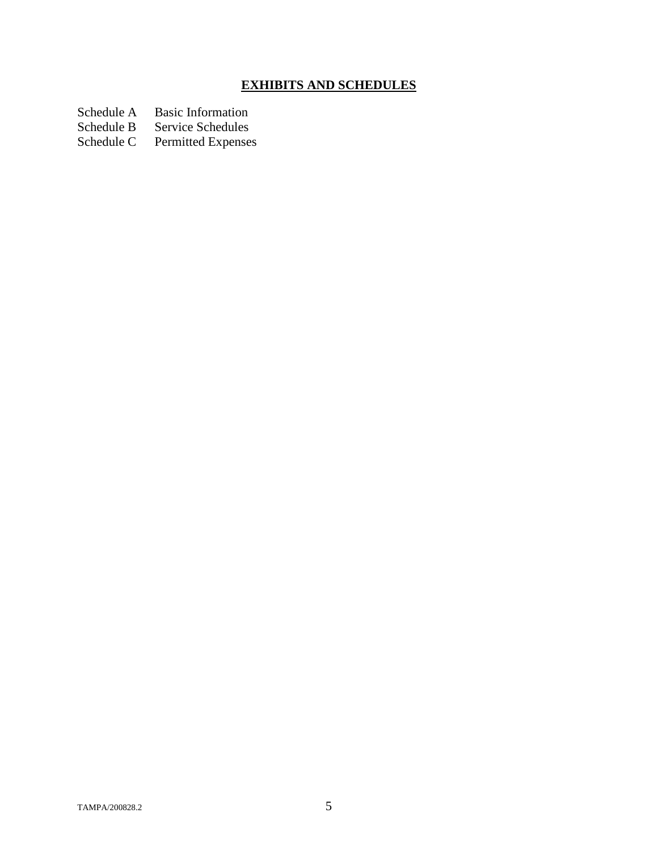# **EXHIBITS AND SCHEDULES**

Schedule A Basic Information<br>Schedule B Service Schedules

Schedule B Service Schedules<br>Schedule C Permitted Expense

Permitted Expenses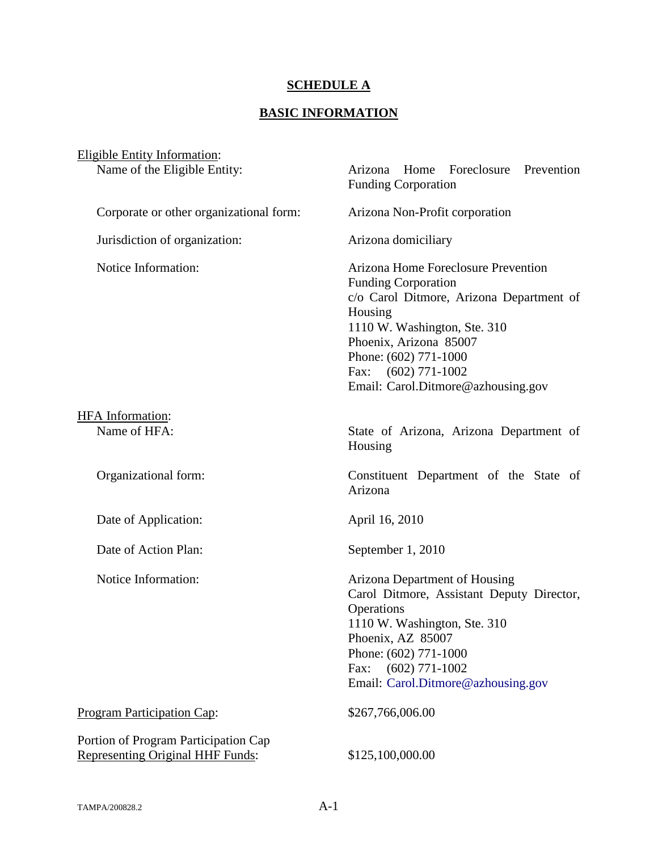# **SCHEDULE A**

# **BASIC INFORMATION**

| Eligible Entity Information:                                                    |                                                                                                                                                                                                                                                                     |
|---------------------------------------------------------------------------------|---------------------------------------------------------------------------------------------------------------------------------------------------------------------------------------------------------------------------------------------------------------------|
| Name of the Eligible Entity:                                                    | Arizona Home Foreclosure Prevention<br><b>Funding Corporation</b>                                                                                                                                                                                                   |
| Corporate or other organizational form:                                         | Arizona Non-Profit corporation                                                                                                                                                                                                                                      |
| Jurisdiction of organization:                                                   | Arizona domiciliary                                                                                                                                                                                                                                                 |
| Notice Information:                                                             | Arizona Home Foreclosure Prevention<br>Funding Corporation<br>c/o Carol Ditmore, Arizona Department of<br>Housing<br>1110 W. Washington, Ste. 310<br>Phoenix, Arizona 85007<br>Phone: (602) 771-1000<br>Fax: $(602)$ 771-1002<br>Email: Carol.Ditmore@azhousing.gov |
| <b>HFA</b> Information:                                                         |                                                                                                                                                                                                                                                                     |
| Name of HFA:                                                                    | State of Arizona, Arizona Department of<br>Housing                                                                                                                                                                                                                  |
| Organizational form:                                                            | Constituent Department of the State of<br>Arizona                                                                                                                                                                                                                   |
| Date of Application:                                                            | April 16, 2010                                                                                                                                                                                                                                                      |
| Date of Action Plan:                                                            | September 1, 2010                                                                                                                                                                                                                                                   |
| Notice Information:                                                             | <b>Arizona Department of Housing</b><br>Carol Ditmore, Assistant Deputy Director,<br>Operations<br>1110 W. Washington, Ste. 310<br>Phoenix, AZ 85007<br>Phone: (602) 771-1000<br>Fax: $(602)$ 771-1002<br>Email: Carol.Ditmore@azhousing.gov                        |
| Program Participation Cap:                                                      | \$267,766,006.00                                                                                                                                                                                                                                                    |
| Portion of Program Participation Cap<br><b>Representing Original HHF Funds:</b> | \$125,100,000.00                                                                                                                                                                                                                                                    |
|                                                                                 |                                                                                                                                                                                                                                                                     |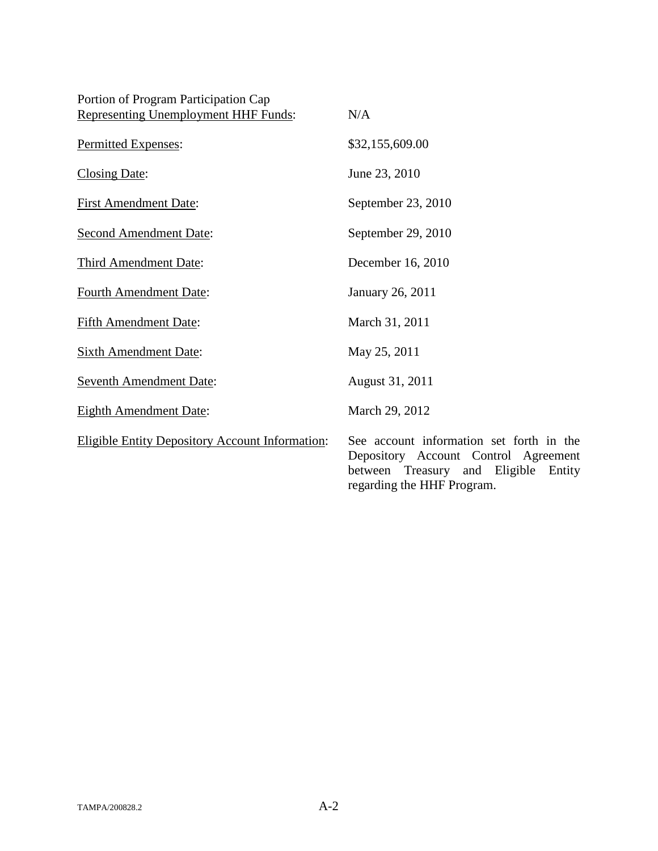| Portion of Program Participation Cap<br>Representing Unemployment HHF Funds: | N/A                                                                                                                               |
|------------------------------------------------------------------------------|-----------------------------------------------------------------------------------------------------------------------------------|
| Permitted Expenses:                                                          | \$32,155,609.00                                                                                                                   |
| <b>Closing Date:</b>                                                         | June 23, 2010                                                                                                                     |
| <b>First Amendment Date:</b>                                                 | September 23, 2010                                                                                                                |
| <b>Second Amendment Date:</b>                                                | September 29, 2010                                                                                                                |
| Third Amendment Date:                                                        | December 16, 2010                                                                                                                 |
| <b>Fourth Amendment Date:</b>                                                | January 26, 2011                                                                                                                  |
| <b>Fifth Amendment Date:</b>                                                 | March 31, 2011                                                                                                                    |
| <b>Sixth Amendment Date:</b>                                                 | May 25, 2011                                                                                                                      |
| <b>Seventh Amendment Date:</b>                                               | August 31, 2011                                                                                                                   |
| <b>Eighth Amendment Date:</b>                                                | March 29, 2012                                                                                                                    |
| <b>Eligible Entity Depository Account Information:</b>                       | See account information set forth in the<br>Depository Account Control Agreement<br>Eligible<br>between Treasury<br>and<br>Entity |

regarding the HHF Program.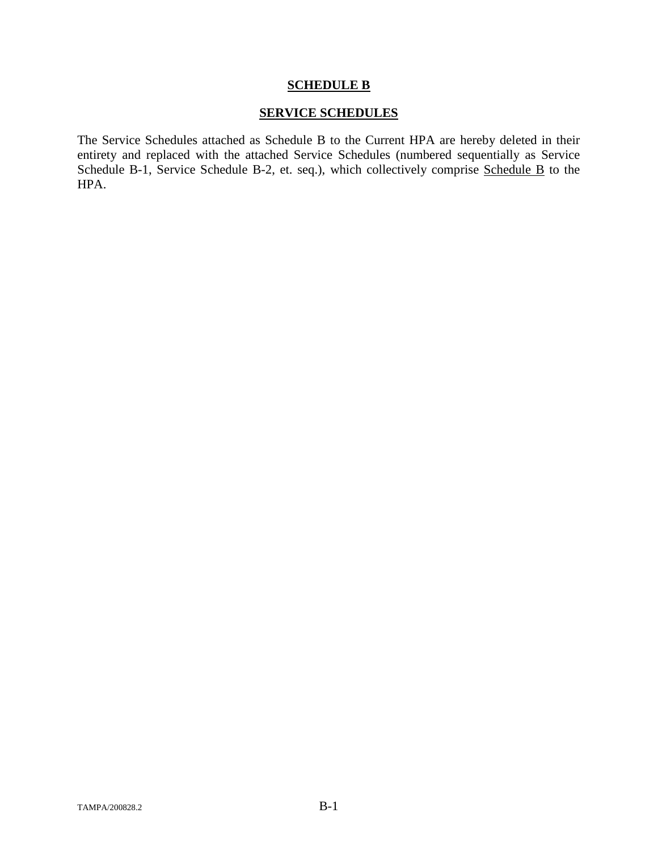### **SCHEDULE B**

#### **SERVICE SCHEDULES**

The Service Schedules attached as Schedule B to the Current HPA are hereby deleted in their entirety and replaced with the attached Service Schedules (numbered sequentially as Service Schedule B-1, Service Schedule B-2, et. seq.), which collectively comprise Schedule B to the HPA.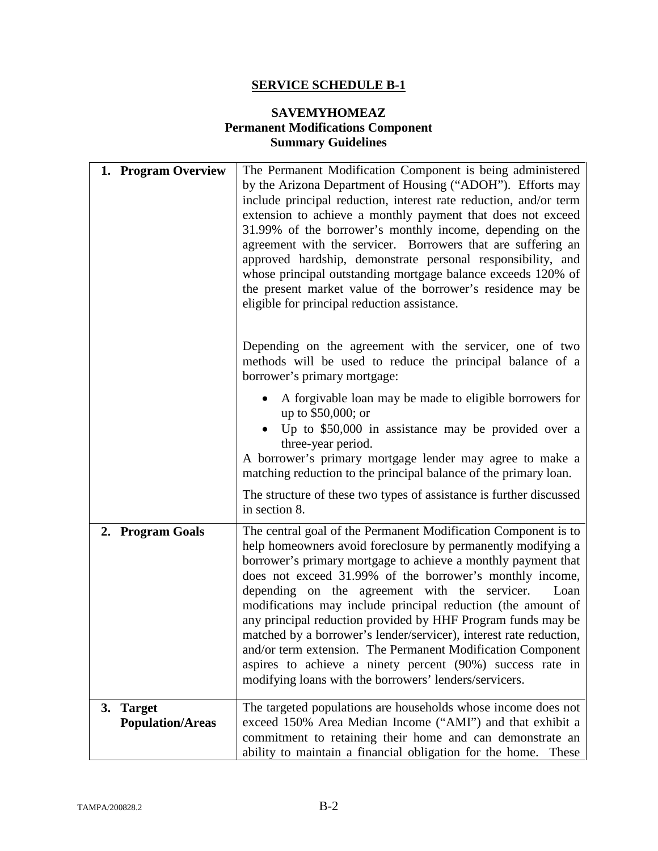# **SAVEMYHOMEAZ Permanent Modifications Component Summary Guidelines**

| 1. Program Overview                                   | The Permanent Modification Component is being administered<br>by the Arizona Department of Housing ("ADOH"). Efforts may<br>include principal reduction, interest rate reduction, and/or term<br>extension to achieve a monthly payment that does not exceed<br>31.99% of the borrower's monthly income, depending on the<br>agreement with the servicer. Borrowers that are suffering an<br>approved hardship, demonstrate personal responsibility, and<br>whose principal outstanding mortgage balance exceeds 120% of<br>the present market value of the borrower's residence may be<br>eligible for principal reduction assistance.                                                                          |
|-------------------------------------------------------|------------------------------------------------------------------------------------------------------------------------------------------------------------------------------------------------------------------------------------------------------------------------------------------------------------------------------------------------------------------------------------------------------------------------------------------------------------------------------------------------------------------------------------------------------------------------------------------------------------------------------------------------------------------------------------------------------------------|
|                                                       | Depending on the agreement with the servicer, one of two<br>methods will be used to reduce the principal balance of a<br>borrower's primary mortgage:                                                                                                                                                                                                                                                                                                                                                                                                                                                                                                                                                            |
|                                                       | A forgivable loan may be made to eligible borrowers for<br>up to \$50,000; or<br>Up to \$50,000 in assistance may be provided over a<br>three-year period.<br>A borrower's primary mortgage lender may agree to make a<br>matching reduction to the principal balance of the primary loan.                                                                                                                                                                                                                                                                                                                                                                                                                       |
|                                                       | The structure of these two types of assistance is further discussed<br>in section 8.                                                                                                                                                                                                                                                                                                                                                                                                                                                                                                                                                                                                                             |
| 2. Program Goals                                      | The central goal of the Permanent Modification Component is to<br>help homeowners avoid foreclosure by permanently modifying a<br>borrower's primary mortgage to achieve a monthly payment that<br>does not exceed 31.99% of the borrower's monthly income,<br>depending on the agreement with the servicer.<br>Loan<br>modifications may include principal reduction (the amount of<br>any principal reduction provided by HHF Program funds may be<br>matched by a borrower's lender/servicer), interest rate reduction,<br>and/or term extension. The Permanent Modification Component<br>aspires to achieve a ninety percent (90%) success rate in<br>modifying loans with the borrowers' lenders/servicers. |
| <b>Target</b><br><b>3.</b><br><b>Population/Areas</b> | The targeted populations are households whose income does not<br>exceed 150% Area Median Income ("AMI") and that exhibit a<br>commitment to retaining their home and can demonstrate an<br>ability to maintain a financial obligation for the home. These                                                                                                                                                                                                                                                                                                                                                                                                                                                        |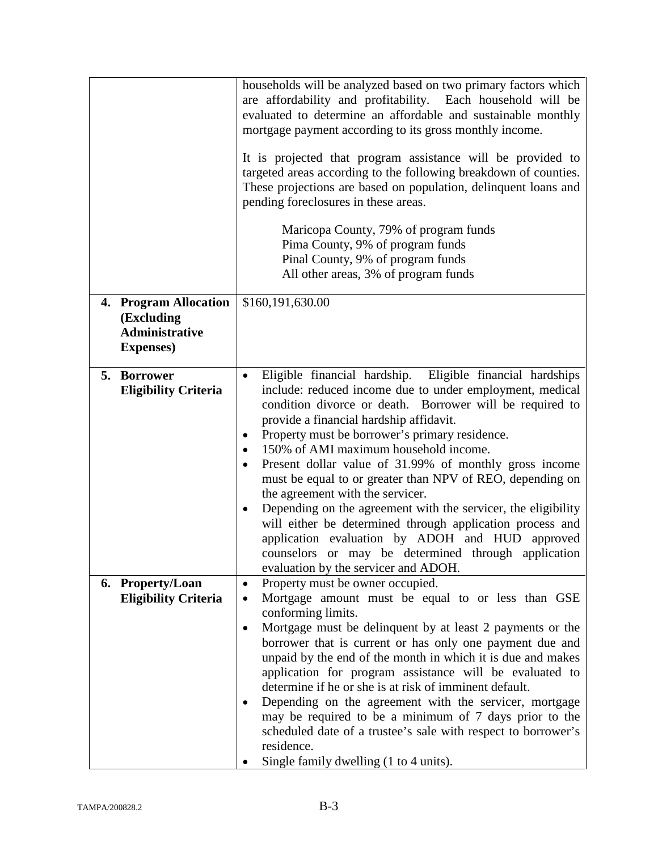|                                                          | households will be analyzed based on two primary factors which<br>are affordability and profitability. Each household will be<br>evaluated to determine an affordable and sustainable monthly<br>mortgage payment according to its gross monthly income.<br>It is projected that program assistance will be provided to<br>targeted areas according to the following breakdown of counties.<br>These projections are based on population, delinquent loans and<br>pending foreclosures in these areas.<br>Maricopa County, 79% of program funds<br>Pima County, 9% of program funds<br>Pinal County, 9% of program funds<br>All other areas, 3% of program funds                                                                                                                |
|----------------------------------------------------------|---------------------------------------------------------------------------------------------------------------------------------------------------------------------------------------------------------------------------------------------------------------------------------------------------------------------------------------------------------------------------------------------------------------------------------------------------------------------------------------------------------------------------------------------------------------------------------------------------------------------------------------------------------------------------------------------------------------------------------------------------------------------------------|
| 4. Program Allocation                                    | \$160,191,630.00                                                                                                                                                                                                                                                                                                                                                                                                                                                                                                                                                                                                                                                                                                                                                                |
| (Excluding<br><b>Administrative</b><br><b>Expenses</b> ) |                                                                                                                                                                                                                                                                                                                                                                                                                                                                                                                                                                                                                                                                                                                                                                                 |
| 5. Borrower<br><b>Eligibility Criteria</b>               | Eligible financial hardship. Eligible financial hardships<br>$\bullet$<br>include: reduced income due to under employment, medical<br>condition divorce or death. Borrower will be required to<br>provide a financial hardship affidavit.<br>Property must be borrower's primary residence.<br>150% of AMI maximum household income.<br>Present dollar value of 31.99% of monthly gross income<br>must be equal to or greater than NPV of REO, depending on<br>the agreement with the servicer.<br>Depending on the agreement with the servicer, the eligibility<br>will either be determined through application process and<br>application evaluation by ADOH and HUD approved<br>counselors or may be determined through application<br>evaluation by the servicer and ADOH. |
| 6. Property/Loan<br><b>Eligibility Criteria</b>          | Property must be owner occupied.<br>$\bullet$<br>Mortgage amount must be equal to or less than GSE<br>conforming limits.<br>Mortgage must be delinquent by at least 2 payments or the<br>borrower that is current or has only one payment due and<br>unpaid by the end of the month in which it is due and makes<br>application for program assistance will be evaluated to<br>determine if he or she is at risk of imminent default.<br>Depending on the agreement with the servicer, mortgage<br>may be required to be a minimum of 7 days prior to the<br>scheduled date of a trustee's sale with respect to borrower's<br>residence.<br>Single family dwelling (1 to 4 units).                                                                                              |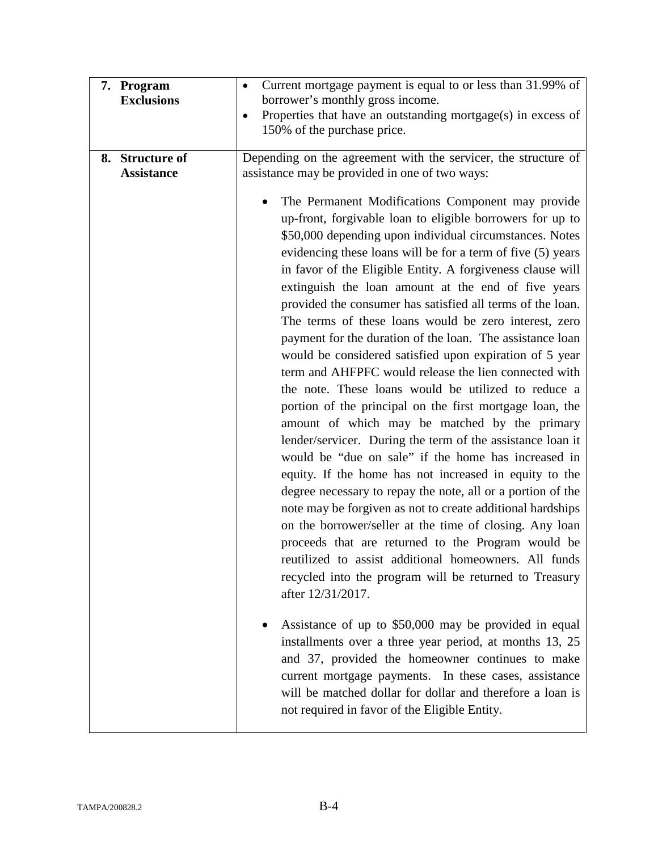| 7. Program<br><b>Exclusions</b>      | Current mortgage payment is equal to or less than 31.99% of<br>$\bullet$<br>borrower's monthly gross income.<br>Properties that have an outstanding mortgage(s) in excess of<br>$\bullet$<br>150% of the purchase price.                                                                                                                                                                                                                                                                                                                                                                                                                                                                                                                                                                                                                                                                                                                                                                                                                                                                                                                                                                                                                                                                                                                                                                                                                                                                                                                                                                                                                                                                                                                                                                                                                                                          |
|--------------------------------------|-----------------------------------------------------------------------------------------------------------------------------------------------------------------------------------------------------------------------------------------------------------------------------------------------------------------------------------------------------------------------------------------------------------------------------------------------------------------------------------------------------------------------------------------------------------------------------------------------------------------------------------------------------------------------------------------------------------------------------------------------------------------------------------------------------------------------------------------------------------------------------------------------------------------------------------------------------------------------------------------------------------------------------------------------------------------------------------------------------------------------------------------------------------------------------------------------------------------------------------------------------------------------------------------------------------------------------------------------------------------------------------------------------------------------------------------------------------------------------------------------------------------------------------------------------------------------------------------------------------------------------------------------------------------------------------------------------------------------------------------------------------------------------------------------------------------------------------------------------------------------------------|
| 8. Structure of<br><b>Assistance</b> | Depending on the agreement with the servicer, the structure of<br>assistance may be provided in one of two ways:<br>The Permanent Modifications Component may provide<br>up-front, forgivable loan to eligible borrowers for up to<br>\$50,000 depending upon individual circumstances. Notes<br>evidencing these loans will be for a term of five (5) years<br>in favor of the Eligible Entity. A forgiveness clause will<br>extinguish the loan amount at the end of five years<br>provided the consumer has satisfied all terms of the loan.<br>The terms of these loans would be zero interest, zero<br>payment for the duration of the loan. The assistance loan<br>would be considered satisfied upon expiration of 5 year<br>term and AHFPFC would release the lien connected with<br>the note. These loans would be utilized to reduce a<br>portion of the principal on the first mortgage loan, the<br>amount of which may be matched by the primary<br>lender/servicer. During the term of the assistance loan it<br>would be "due on sale" if the home has increased in<br>equity. If the home has not increased in equity to the<br>degree necessary to repay the note, all or a portion of the<br>note may be forgiven as not to create additional hardships<br>on the borrower/seller at the time of closing. Any loan<br>proceeds that are returned to the Program would be<br>reutilized to assist additional homeowners. All funds<br>recycled into the program will be returned to Treasury<br>after 12/31/2017.<br>Assistance of up to \$50,000 may be provided in equal<br>installments over a three year period, at months 13, 25<br>and 37, provided the homeowner continues to make<br>current mortgage payments. In these cases, assistance<br>will be matched dollar for dollar and therefore a loan is<br>not required in favor of the Eligible Entity. |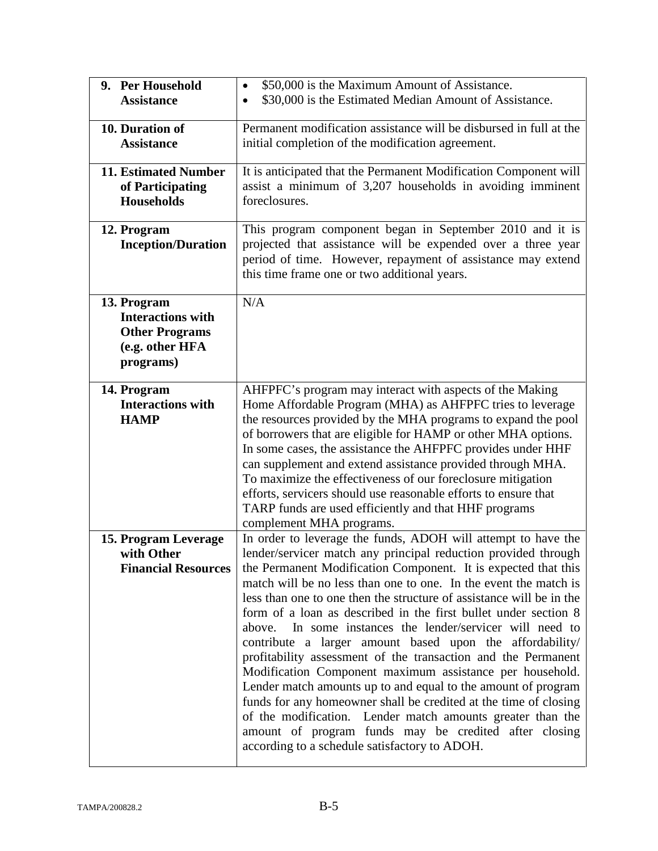| 9. Per Household                      | \$50,000 is the Maximum Amount of Assistance.<br>$\bullet$                                                                     |
|---------------------------------------|--------------------------------------------------------------------------------------------------------------------------------|
| <b>Assistance</b>                     | \$30,000 is the Estimated Median Amount of Assistance.<br>$\bullet$                                                            |
|                                       |                                                                                                                                |
| 10. Duration of                       | Permanent modification assistance will be disbursed in full at the                                                             |
| <b>Assistance</b>                     | initial completion of the modification agreement.                                                                              |
| 11. Estimated Number                  | It is anticipated that the Permanent Modification Component will                                                               |
|                                       | assist a minimum of 3,207 households in avoiding imminent                                                                      |
| of Participating<br><b>Households</b> | foreclosures.                                                                                                                  |
|                                       |                                                                                                                                |
| 12. Program                           | This program component began in September 2010 and it is                                                                       |
| <b>Inception/Duration</b>             | projected that assistance will be expended over a three year                                                                   |
|                                       | period of time. However, repayment of assistance may extend                                                                    |
|                                       | this time frame one or two additional years.                                                                                   |
|                                       |                                                                                                                                |
| 13. Program                           | N/A                                                                                                                            |
| <b>Interactions with</b>              |                                                                                                                                |
| <b>Other Programs</b>                 |                                                                                                                                |
| (e.g. other HFA                       |                                                                                                                                |
| programs)                             |                                                                                                                                |
|                                       |                                                                                                                                |
| 14. Program                           | AHFPFC's program may interact with aspects of the Making                                                                       |
| <b>Interactions with</b>              | Home Affordable Program (MHA) as AHFPFC tries to leverage                                                                      |
| <b>HAMP</b>                           | the resources provided by the MHA programs to expand the pool                                                                  |
|                                       | of borrowers that are eligible for HAMP or other MHA options.                                                                  |
|                                       | In some cases, the assistance the AHFPFC provides under HHF                                                                    |
|                                       | can supplement and extend assistance provided through MHA.                                                                     |
|                                       | To maximize the effectiveness of our foreclosure mitigation<br>efforts, servicers should use reasonable efforts to ensure that |
|                                       | TARP funds are used efficiently and that HHF programs                                                                          |
|                                       | complement MHA programs.                                                                                                       |
| 15. Program Leverage                  | In order to leverage the funds, ADOH will attempt to have the                                                                  |
| with Other                            | lender/servicer match any principal reduction provided through                                                                 |
| <b>Financial Resources</b>            | the Permanent Modification Component. It is expected that this                                                                 |
|                                       | match will be no less than one to one. In the event the match is                                                               |
|                                       | less than one to one then the structure of assistance will be in the                                                           |
|                                       | form of a loan as described in the first bullet under section 8                                                                |
|                                       | In some instances the lender/servicer will need to<br>above.                                                                   |
|                                       | contribute a larger amount based upon the affordability/                                                                       |
|                                       | profitability assessment of the transaction and the Permanent                                                                  |
|                                       | Modification Component maximum assistance per household.                                                                       |
|                                       | Lender match amounts up to and equal to the amount of program                                                                  |
|                                       | funds for any homeowner shall be credited at the time of closing                                                               |
|                                       | of the modification. Lender match amounts greater than the                                                                     |
|                                       | amount of program funds may be credited after closing                                                                          |
|                                       | according to a schedule satisfactory to ADOH.                                                                                  |
|                                       |                                                                                                                                |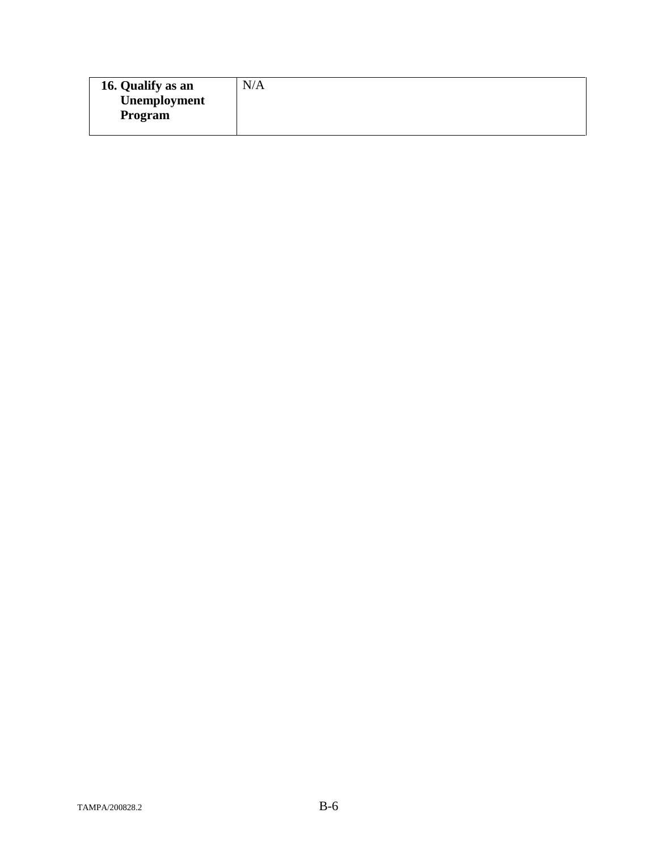| 16. Qualify as an | N/A |
|-------------------|-----|
| Unemployment      |     |
| Program           |     |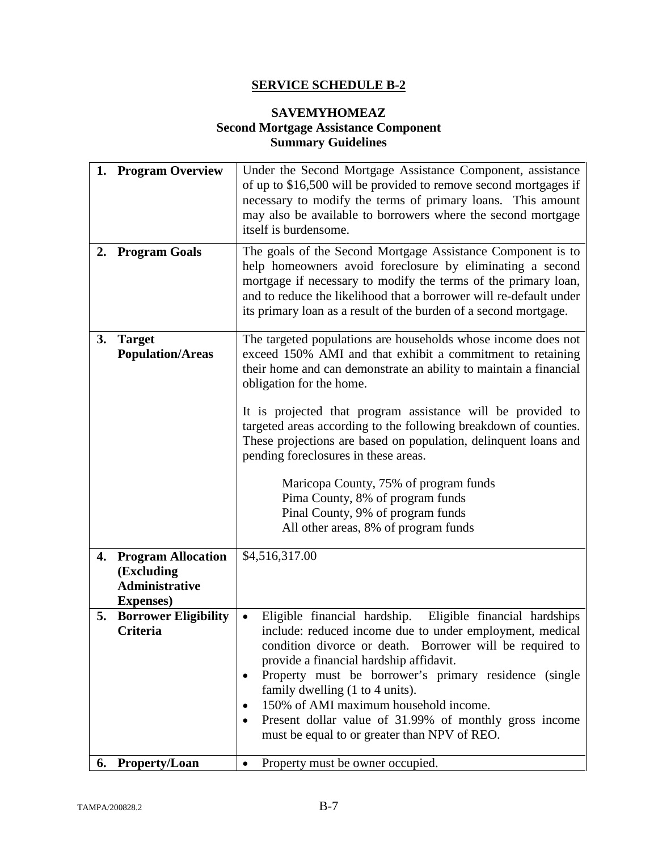### **SAVEMYHOMEAZ Second Mortgage Assistance Component Summary Guidelines**

|    | 1. Program Overview                                                               | Under the Second Mortgage Assistance Component, assistance<br>of up to \$16,500 will be provided to remove second mortgages if<br>necessary to modify the terms of primary loans. This amount<br>may also be available to borrowers where the second mortgage<br>itself is burdensome.                                                                                                                                                                                      |
|----|-----------------------------------------------------------------------------------|-----------------------------------------------------------------------------------------------------------------------------------------------------------------------------------------------------------------------------------------------------------------------------------------------------------------------------------------------------------------------------------------------------------------------------------------------------------------------------|
| 2. | <b>Program Goals</b>                                                              | The goals of the Second Mortgage Assistance Component is to<br>help homeowners avoid foreclosure by eliminating a second<br>mortgage if necessary to modify the terms of the primary loan,<br>and to reduce the likelihood that a borrower will re-default under<br>its primary loan as a result of the burden of a second mortgage.                                                                                                                                        |
| 3. | <b>Target</b><br><b>Population/Areas</b>                                          | The targeted populations are households whose income does not<br>exceed 150% AMI and that exhibit a commitment to retaining<br>their home and can demonstrate an ability to maintain a financial<br>obligation for the home.                                                                                                                                                                                                                                                |
|    |                                                                                   | It is projected that program assistance will be provided to<br>targeted areas according to the following breakdown of counties.<br>These projections are based on population, delinquent loans and<br>pending foreclosures in these areas.                                                                                                                                                                                                                                  |
|    |                                                                                   | Maricopa County, 75% of program funds<br>Pima County, 8% of program funds<br>Pinal County, 9% of program funds<br>All other areas, 8% of program funds                                                                                                                                                                                                                                                                                                                      |
|    | 4. Program Allocation<br>(Excluding<br><b>Administrative</b><br><b>Expenses</b> ) | \$4,516,317.00                                                                                                                                                                                                                                                                                                                                                                                                                                                              |
| 5. | <b>Borrower Eligibility</b><br><b>Criteria</b>                                    | Eligible financial hardship. Eligible financial hardships<br>include: reduced income due to under employment, medical<br>condition divorce or death. Borrower will be required to<br>provide a financial hardship affidavit.<br>Property must be borrower's primary residence (single<br>family dwelling (1 to 4 units).<br>150% of AMI maximum household income.<br>Present dollar value of 31.99% of monthly gross income<br>must be equal to or greater than NPV of REO. |
| 6. | <b>Property/Loan</b>                                                              | Property must be owner occupied.<br>$\bullet$                                                                                                                                                                                                                                                                                                                                                                                                                               |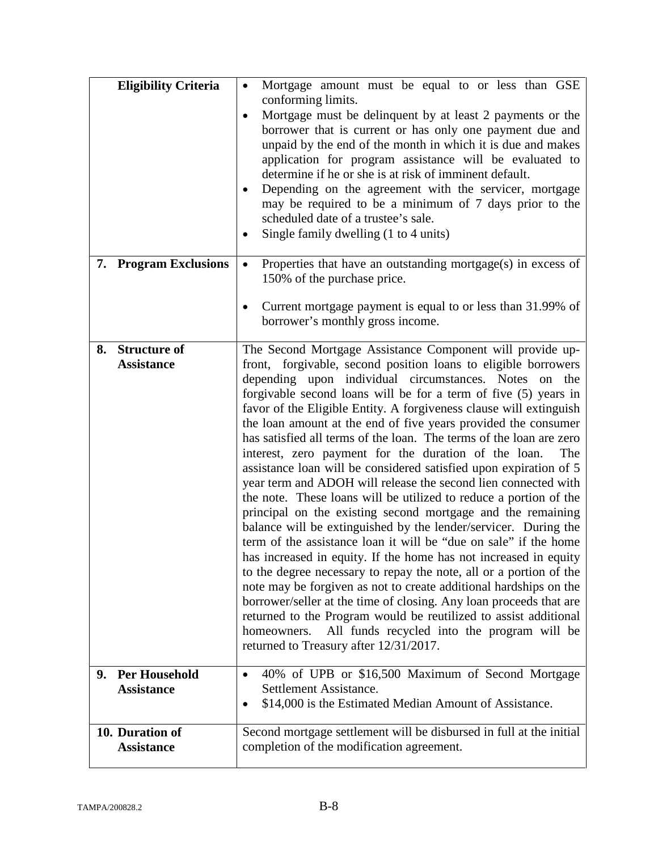| <b>Eligibility Criteria</b>                     | Mortgage amount must be equal to or less than GSE<br>$\bullet$<br>conforming limits.<br>Mortgage must be delinquent by at least 2 payments or the<br>$\bullet$<br>borrower that is current or has only one payment due and<br>unpaid by the end of the month in which it is due and makes<br>application for program assistance will be evaluated to<br>determine if he or she is at risk of imminent default.<br>Depending on the agreement with the servicer, mortgage<br>$\bullet$<br>may be required to be a minimum of 7 days prior to the<br>scheduled date of a trustee's sale.<br>Single family dwelling (1 to 4 units)<br>$\bullet$                                                                                                                                                                                                                                                                                                                                                                                                                                                                                                                                                                                                                                                                                                                                                                             |
|-------------------------------------------------|--------------------------------------------------------------------------------------------------------------------------------------------------------------------------------------------------------------------------------------------------------------------------------------------------------------------------------------------------------------------------------------------------------------------------------------------------------------------------------------------------------------------------------------------------------------------------------------------------------------------------------------------------------------------------------------------------------------------------------------------------------------------------------------------------------------------------------------------------------------------------------------------------------------------------------------------------------------------------------------------------------------------------------------------------------------------------------------------------------------------------------------------------------------------------------------------------------------------------------------------------------------------------------------------------------------------------------------------------------------------------------------------------------------------------|
| 7. Program Exclusions                           | Properties that have an outstanding mortgage(s) in excess of<br>$\bullet$<br>150% of the purchase price.<br>Current mortgage payment is equal to or less than 31.99% of<br>$\bullet$<br>borrower's monthly gross income.                                                                                                                                                                                                                                                                                                                                                                                                                                                                                                                                                                                                                                                                                                                                                                                                                                                                                                                                                                                                                                                                                                                                                                                                 |
| <b>Structure of</b><br>8.<br><b>Assistance</b>  | The Second Mortgage Assistance Component will provide up-<br>front, forgivable, second position loans to eligible borrowers<br>depending upon individual circumstances. Notes on the<br>forgivable second loans will be for a term of five (5) years in<br>favor of the Eligible Entity. A forgiveness clause will extinguish<br>the loan amount at the end of five years provided the consumer<br>has satisfied all terms of the loan. The terms of the loan are zero<br>interest, zero payment for the duration of the loan.<br>The<br>assistance loan will be considered satisfied upon expiration of 5<br>year term and ADOH will release the second lien connected with<br>the note. These loans will be utilized to reduce a portion of the<br>principal on the existing second mortgage and the remaining<br>balance will be extinguished by the lender/servicer. During the<br>term of the assistance loan it will be "due on sale" if the home<br>has increased in equity. If the home has not increased in equity<br>to the degree necessary to repay the note, all or a portion of the<br>note may be forgiven as not to create additional hardships on the<br>borrower/seller at the time of closing. Any loan proceeds that are<br>returned to the Program would be reutilized to assist additional<br>All funds recycled into the program will be<br>homeowners.<br>returned to Treasury after 12/31/2017. |
| <b>Per Household</b><br>9.<br><b>Assistance</b> | 40% of UPB or \$16,500 Maximum of Second Mortgage<br>$\bullet$<br>Settlement Assistance.<br>\$14,000 is the Estimated Median Amount of Assistance.<br>$\bullet$                                                                                                                                                                                                                                                                                                                                                                                                                                                                                                                                                                                                                                                                                                                                                                                                                                                                                                                                                                                                                                                                                                                                                                                                                                                          |
| 10. Duration of<br><b>Assistance</b>            | Second mortgage settlement will be disbursed in full at the initial<br>completion of the modification agreement.                                                                                                                                                                                                                                                                                                                                                                                                                                                                                                                                                                                                                                                                                                                                                                                                                                                                                                                                                                                                                                                                                                                                                                                                                                                                                                         |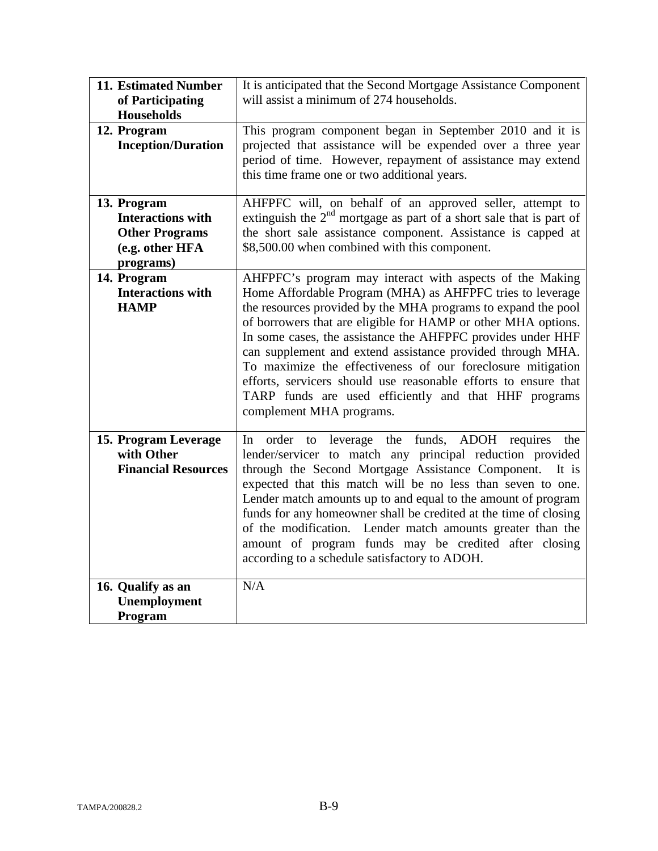| 11. Estimated Number<br>of Participating<br><b>Households</b>                                    | It is anticipated that the Second Mortgage Assistance Component<br>will assist a minimum of 274 households.                                                                                                                                                                                                                                                                                                                                                                                                                                                                                                 |
|--------------------------------------------------------------------------------------------------|-------------------------------------------------------------------------------------------------------------------------------------------------------------------------------------------------------------------------------------------------------------------------------------------------------------------------------------------------------------------------------------------------------------------------------------------------------------------------------------------------------------------------------------------------------------------------------------------------------------|
| 12. Program<br><b>Inception/Duration</b>                                                         | This program component began in September 2010 and it is<br>projected that assistance will be expended over a three year<br>period of time. However, repayment of assistance may extend<br>this time frame one or two additional years.                                                                                                                                                                                                                                                                                                                                                                     |
| 13. Program<br><b>Interactions with</b><br><b>Other Programs</b><br>(e.g. other HFA<br>programs) | AHFPFC will, on behalf of an approved seller, attempt to<br>extinguish the $2nd$ mortgage as part of a short sale that is part of<br>the short sale assistance component. Assistance is capped at<br>\$8,500.00 when combined with this component.                                                                                                                                                                                                                                                                                                                                                          |
| 14. Program<br><b>Interactions with</b><br><b>HAMP</b>                                           | AHFPFC's program may interact with aspects of the Making<br>Home Affordable Program (MHA) as AHFPFC tries to leverage<br>the resources provided by the MHA programs to expand the pool<br>of borrowers that are eligible for HAMP or other MHA options.<br>In some cases, the assistance the AHFPFC provides under HHF<br>can supplement and extend assistance provided through MHA.<br>To maximize the effectiveness of our foreclosure mitigation<br>efforts, servicers should use reasonable efforts to ensure that<br>TARP funds are used efficiently and that HHF programs<br>complement MHA programs. |
| 15. Program Leverage<br>with Other<br><b>Financial Resources</b>                                 | In order to leverage the funds, ADOH requires the<br>lender/servicer to match any principal reduction provided<br>through the Second Mortgage Assistance Component.<br>It is<br>expected that this match will be no less than seven to one.<br>Lender match amounts up to and equal to the amount of program<br>funds for any homeowner shall be credited at the time of closing<br>of the modification. Lender match amounts greater than the<br>amount of program funds may be credited after closing<br>according to a schedule satisfactory to ADOH.                                                    |
| 16. Qualify as an<br>Unemployment<br>Program                                                     | N/A                                                                                                                                                                                                                                                                                                                                                                                                                                                                                                                                                                                                         |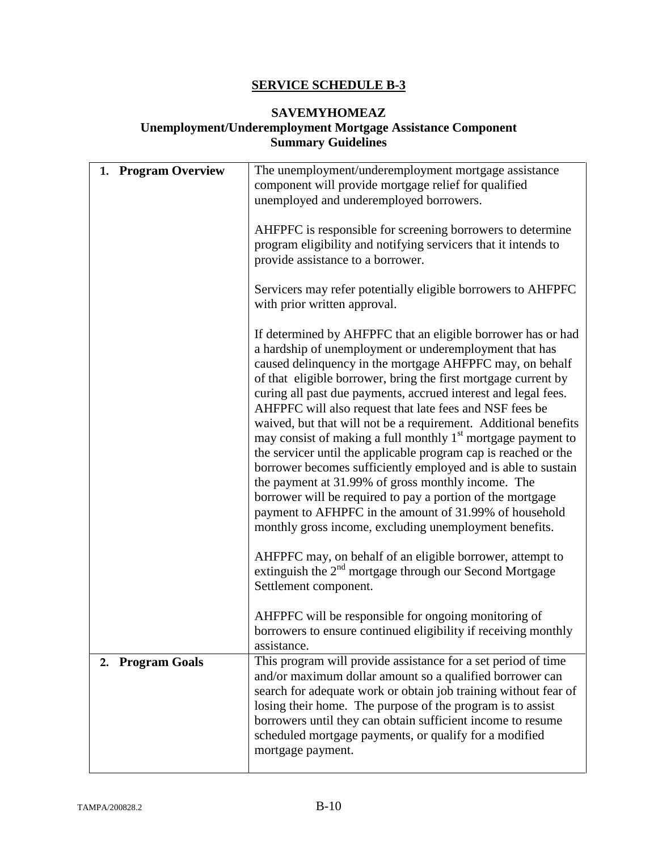# **SAVEMYHOMEAZ**

## **Unemployment/Underemployment Mortgage Assistance Component Summary Guidelines**

| 1. Program Overview        | The unemployment/underemployment mortgage assistance<br>component will provide mortgage relief for qualified<br>unemployed and underemployed borrowers.<br>AHFPFC is responsible for screening borrowers to determine<br>program eligibility and notifying servicers that it intends to<br>provide assistance to a borrower.<br>Servicers may refer potentially eligible borrowers to AHFPFC<br>with prior written approval.<br>If determined by AHFPFC that an eligible borrower has or had<br>a hardship of unemployment or underemployment that has<br>caused delinquency in the mortgage AHFPFC may, on behalf<br>of that eligible borrower, bring the first mortgage current by<br>curing all past due payments, accrued interest and legal fees.<br>AHFPFC will also request that late fees and NSF fees be<br>waived, but that will not be a requirement. Additional benefits<br>may consist of making a full monthly 1 <sup>st</sup> mortgage payment to<br>the servicer until the applicable program cap is reached or the<br>borrower becomes sufficiently employed and is able to sustain<br>the payment at 31.99% of gross monthly income. The<br>borrower will be required to pay a portion of the mortgage<br>payment to AFHPFC in the amount of 31.99% of household<br>monthly gross income, excluding unemployment benefits.<br>AHFPFC may, on behalf of an eligible borrower, attempt to<br>extinguish the $2nd$ mortgage through our Second Mortgage<br>Settlement component. |
|----------------------------|-------------------------------------------------------------------------------------------------------------------------------------------------------------------------------------------------------------------------------------------------------------------------------------------------------------------------------------------------------------------------------------------------------------------------------------------------------------------------------------------------------------------------------------------------------------------------------------------------------------------------------------------------------------------------------------------------------------------------------------------------------------------------------------------------------------------------------------------------------------------------------------------------------------------------------------------------------------------------------------------------------------------------------------------------------------------------------------------------------------------------------------------------------------------------------------------------------------------------------------------------------------------------------------------------------------------------------------------------------------------------------------------------------------------------------------------------------------------------------------------------|
| <b>Program Goals</b><br>2. | AHFPFC will be responsible for ongoing monitoring of<br>borrowers to ensure continued eligibility if receiving monthly<br>assistance.<br>This program will provide assistance for a set period of time<br>and/or maximum dollar amount so a qualified borrower can<br>search for adequate work or obtain job training without fear of<br>losing their home. The purpose of the program is to assist                                                                                                                                                                                                                                                                                                                                                                                                                                                                                                                                                                                                                                                                                                                                                                                                                                                                                                                                                                                                                                                                                             |
|                            | borrowers until they can obtain sufficient income to resume<br>scheduled mortgage payments, or qualify for a modified<br>mortgage payment.                                                                                                                                                                                                                                                                                                                                                                                                                                                                                                                                                                                                                                                                                                                                                                                                                                                                                                                                                                                                                                                                                                                                                                                                                                                                                                                                                      |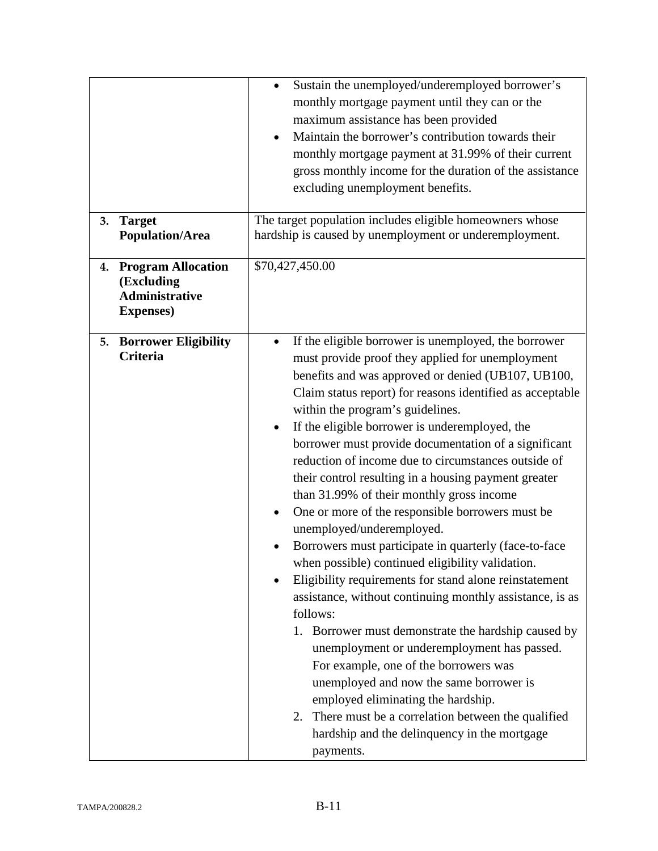|    |                                                                                       | Sustain the unemployed/underemployed borrower's<br>$\bullet$<br>monthly mortgage payment until they can or the<br>maximum assistance has been provided<br>Maintain the borrower's contribution towards their<br>$\bullet$<br>monthly mortgage payment at 31.99% of their current<br>gross monthly income for the duration of the assistance<br>excluding unemployment benefits.                                                                                                                                                                                                                                                                                                                                                                                                                                                                                                                                                                                                                                                                                                                                                                                                                                                                                   |
|----|---------------------------------------------------------------------------------------|-------------------------------------------------------------------------------------------------------------------------------------------------------------------------------------------------------------------------------------------------------------------------------------------------------------------------------------------------------------------------------------------------------------------------------------------------------------------------------------------------------------------------------------------------------------------------------------------------------------------------------------------------------------------------------------------------------------------------------------------------------------------------------------------------------------------------------------------------------------------------------------------------------------------------------------------------------------------------------------------------------------------------------------------------------------------------------------------------------------------------------------------------------------------------------------------------------------------------------------------------------------------|
| 3. | <b>Target</b><br><b>Population/Area</b>                                               | The target population includes eligible homeowners whose<br>hardship is caused by unemployment or underemployment.                                                                                                                                                                                                                                                                                                                                                                                                                                                                                                                                                                                                                                                                                                                                                                                                                                                                                                                                                                                                                                                                                                                                                |
| 4. | <b>Program Allocation</b><br>(Excluding<br><b>Administrative</b><br><b>Expenses</b> ) | \$70,427,450.00                                                                                                                                                                                                                                                                                                                                                                                                                                                                                                                                                                                                                                                                                                                                                                                                                                                                                                                                                                                                                                                                                                                                                                                                                                                   |
| 5. | <b>Borrower Eligibility</b><br>Criteria                                               | If the eligible borrower is unemployed, the borrower<br>$\bullet$<br>must provide proof they applied for unemployment<br>benefits and was approved or denied (UB107, UB100,<br>Claim status report) for reasons identified as acceptable<br>within the program's guidelines.<br>If the eligible borrower is underemployed, the<br>$\bullet$<br>borrower must provide documentation of a significant<br>reduction of income due to circumstances outside of<br>their control resulting in a housing payment greater<br>than 31.99% of their monthly gross income<br>One or more of the responsible borrowers must be<br>$\bullet$<br>unemployed/underemployed.<br>Borrowers must participate in quarterly (face-to-face<br>when possible) continued eligibility validation.<br>Eligibility requirements for stand alone reinstatement<br>assistance, without continuing monthly assistance, is as<br>follows:<br>1. Borrower must demonstrate the hardship caused by<br>unemployment or underemployment has passed.<br>For example, one of the borrowers was<br>unemployed and now the same borrower is<br>employed eliminating the hardship.<br>2. There must be a correlation between the qualified<br>hardship and the delinquency in the mortgage<br>payments. |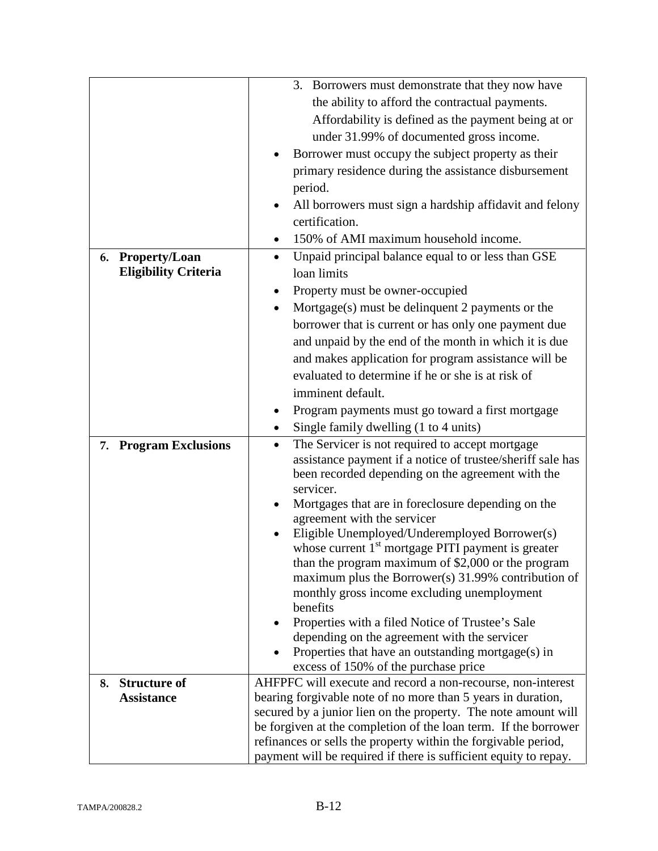|    |                                                 | 3. Borrowers must demonstrate that they now have                                                                |  |  |
|----|-------------------------------------------------|-----------------------------------------------------------------------------------------------------------------|--|--|
|    |                                                 | the ability to afford the contractual payments.                                                                 |  |  |
|    |                                                 | Affordability is defined as the payment being at or                                                             |  |  |
|    |                                                 | under 31.99% of documented gross income.                                                                        |  |  |
|    |                                                 | Borrower must occupy the subject property as their                                                              |  |  |
|    |                                                 | primary residence during the assistance disbursement                                                            |  |  |
|    |                                                 | period.                                                                                                         |  |  |
|    |                                                 | All borrowers must sign a hardship affidavit and felony                                                         |  |  |
|    |                                                 | certification.                                                                                                  |  |  |
|    |                                                 | 150% of AMI maximum household income.<br>$\bullet$                                                              |  |  |
|    |                                                 | Unpaid principal balance equal to or less than GSE<br>$\bullet$                                                 |  |  |
|    | 6. Property/Loan<br><b>Eligibility Criteria</b> | loan limits                                                                                                     |  |  |
|    |                                                 | Property must be owner-occupied<br>٠                                                                            |  |  |
|    |                                                 | Mortgage $(s)$ must be delinquent 2 payments or the<br>$\bullet$                                                |  |  |
|    |                                                 | borrower that is current or has only one payment due                                                            |  |  |
|    |                                                 | and unpaid by the end of the month in which it is due                                                           |  |  |
|    |                                                 | and makes application for program assistance will be                                                            |  |  |
|    |                                                 | evaluated to determine if he or she is at risk of                                                               |  |  |
|    |                                                 | imminent default.                                                                                               |  |  |
|    |                                                 | Program payments must go toward a first mortgage<br>٠                                                           |  |  |
|    |                                                 | Single family dwelling (1 to 4 units)<br>$\bullet$                                                              |  |  |
| 7. | <b>Program Exclusions</b>                       | The Servicer is not required to accept mortgage<br>$\bullet$                                                    |  |  |
|    |                                                 | assistance payment if a notice of trustee/sheriff sale has<br>been recorded depending on the agreement with the |  |  |
|    |                                                 | servicer.                                                                                                       |  |  |
|    |                                                 | Mortgages that are in foreclosure depending on the<br>agreement with the servicer                               |  |  |
|    |                                                 | Eligible Unemployed/Underemployed Borrower(s)                                                                   |  |  |
|    |                                                 | whose current 1 <sup>st</sup> mortgage PITI payment is greater                                                  |  |  |
|    |                                                 | than the program maximum of \$2,000 or the program                                                              |  |  |
|    |                                                 | maximum plus the Borrower(s) 31.99% contribution of                                                             |  |  |
|    |                                                 | monthly gross income excluding unemployment                                                                     |  |  |
|    |                                                 | benefits                                                                                                        |  |  |
|    |                                                 | Properties with a filed Notice of Trustee's Sale                                                                |  |  |
|    |                                                 | depending on the agreement with the servicer                                                                    |  |  |
|    |                                                 | Properties that have an outstanding mortgage(s) in<br>excess of 150% of the purchase price                      |  |  |
| 8. | <b>Structure of</b>                             | AHFPFC will execute and record a non-recourse, non-interest                                                     |  |  |
|    | <b>Assistance</b>                               | bearing forgivable note of no more than 5 years in duration,                                                    |  |  |
|    |                                                 | secured by a junior lien on the property. The note amount will                                                  |  |  |
|    |                                                 | be forgiven at the completion of the loan term. If the borrower                                                 |  |  |
|    |                                                 | refinances or sells the property within the forgivable period,                                                  |  |  |
|    |                                                 | payment will be required if there is sufficient equity to repay.                                                |  |  |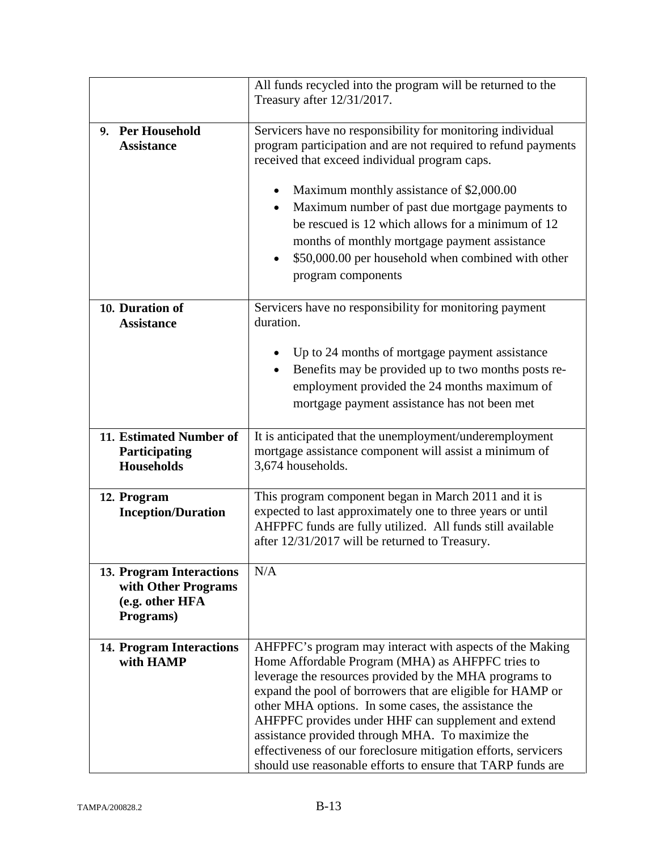|                                                                                        | All funds recycled into the program will be returned to the<br>Treasury after 12/31/2017.                                                                                                                                                                                                                                                                                                                                                                                                                                                |  |
|----------------------------------------------------------------------------------------|------------------------------------------------------------------------------------------------------------------------------------------------------------------------------------------------------------------------------------------------------------------------------------------------------------------------------------------------------------------------------------------------------------------------------------------------------------------------------------------------------------------------------------------|--|
|                                                                                        |                                                                                                                                                                                                                                                                                                                                                                                                                                                                                                                                          |  |
| 9. Per Household<br><b>Assistance</b>                                                  | Servicers have no responsibility for monitoring individual<br>program participation and are not required to refund payments<br>received that exceed individual program caps.<br>Maximum monthly assistance of \$2,000.00<br>Maximum number of past due mortgage payments to<br>$\bullet$<br>be rescued is 12 which allows for a minimum of 12<br>months of monthly mortgage payment assistance<br>\$50,000.00 per household when combined with other<br>٠                                                                                |  |
|                                                                                        | program components                                                                                                                                                                                                                                                                                                                                                                                                                                                                                                                       |  |
| 10. Duration of<br><b>Assistance</b>                                                   | Servicers have no responsibility for monitoring payment<br>duration.                                                                                                                                                                                                                                                                                                                                                                                                                                                                     |  |
|                                                                                        | Up to 24 months of mortgage payment assistance<br>Benefits may be provided up to two months posts re-<br>employment provided the 24 months maximum of<br>mortgage payment assistance has not been met                                                                                                                                                                                                                                                                                                                                    |  |
| 11. Estimated Number of<br>Participating<br><b>Households</b>                          | It is anticipated that the unemployment/underemployment<br>mortgage assistance component will assist a minimum of<br>3,674 households.                                                                                                                                                                                                                                                                                                                                                                                                   |  |
| 12. Program<br><b>Inception/Duration</b>                                               | This program component began in March 2011 and it is<br>expected to last approximately one to three years or until<br>AHFPFC funds are fully utilized. All funds still available<br>after 12/31/2017 will be returned to Treasury.                                                                                                                                                                                                                                                                                                       |  |
| <b>13. Program Interactions</b><br>with Other Programs<br>(e.g. other HFA<br>Programs) | N/A                                                                                                                                                                                                                                                                                                                                                                                                                                                                                                                                      |  |
| <b>14. Program Interactions</b><br>with HAMP                                           | AHFPFC's program may interact with aspects of the Making<br>Home Affordable Program (MHA) as AHFPFC tries to<br>leverage the resources provided by the MHA programs to<br>expand the pool of borrowers that are eligible for HAMP or<br>other MHA options. In some cases, the assistance the<br>AHFPFC provides under HHF can supplement and extend<br>assistance provided through MHA. To maximize the<br>effectiveness of our foreclosure mitigation efforts, servicers<br>should use reasonable efforts to ensure that TARP funds are |  |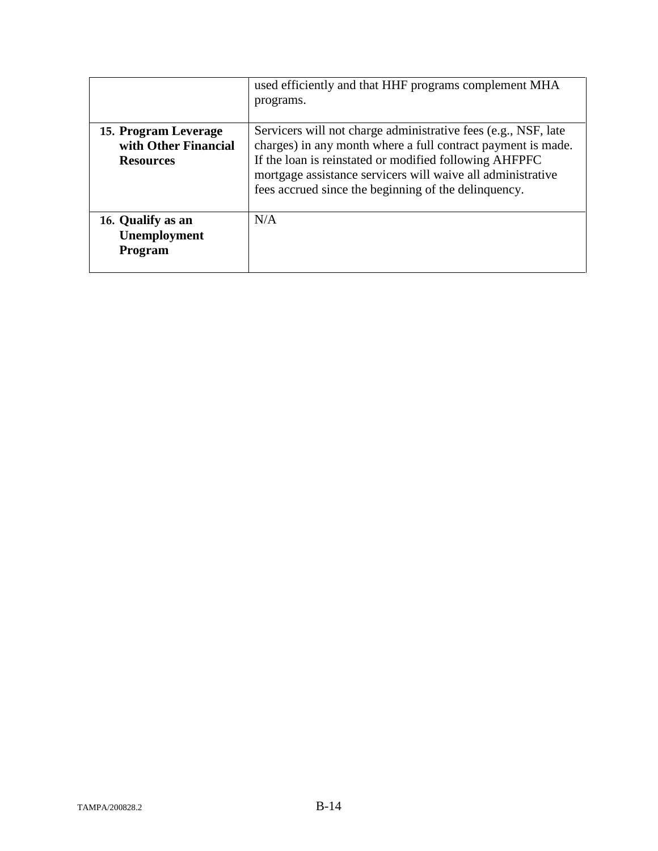|                                                                  | used efficiently and that HHF programs complement MHA<br>programs.                                                                                                                                                                                                                                              |
|------------------------------------------------------------------|-----------------------------------------------------------------------------------------------------------------------------------------------------------------------------------------------------------------------------------------------------------------------------------------------------------------|
| 15. Program Leverage<br>with Other Financial<br><b>Resources</b> | Servicers will not charge administrative fees (e.g., NSF, late<br>charges) in any month where a full contract payment is made.<br>If the loan is reinstated or modified following AHFPFC<br>mortgage assistance servicers will waive all administrative<br>fees accrued since the beginning of the delinquency. |
| 16. Qualify as an<br>Unemployment<br>Program                     | N/A                                                                                                                                                                                                                                                                                                             |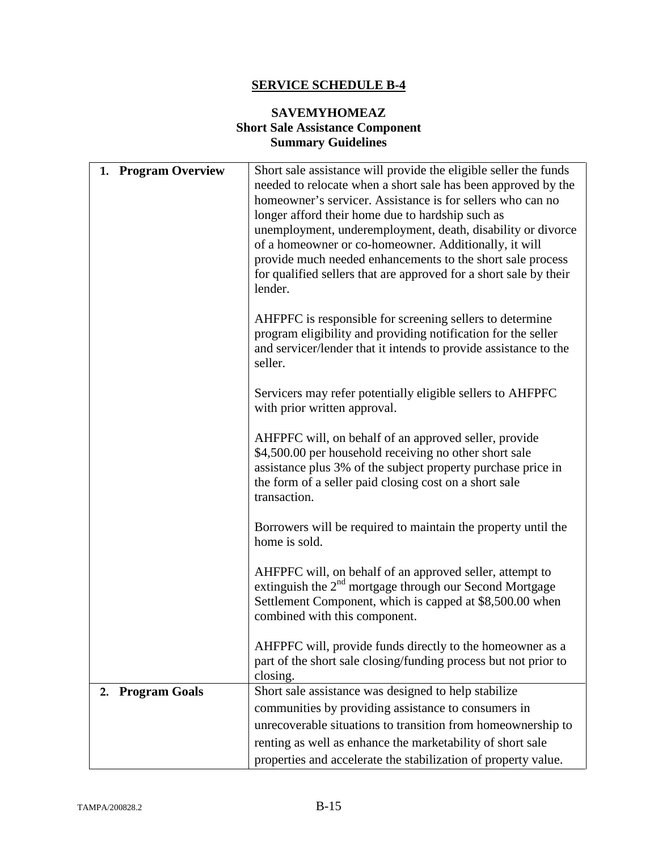## **SAVEMYHOMEAZ Short Sale Assistance Component Summary Guidelines**

| <b>Program Overview</b><br>1. | Short sale assistance will provide the eligible seller the funds<br>needed to relocate when a short sale has been approved by the<br>homeowner's servicer. Assistance is for sellers who can no<br>longer afford their home due to hardship such as<br>unemployment, underemployment, death, disability or divorce<br>of a homeowner or co-homeowner. Additionally, it will |
|-------------------------------|-----------------------------------------------------------------------------------------------------------------------------------------------------------------------------------------------------------------------------------------------------------------------------------------------------------------------------------------------------------------------------|
|                               | provide much needed enhancements to the short sale process<br>for qualified sellers that are approved for a short sale by their<br>lender.                                                                                                                                                                                                                                  |
|                               | AHFPFC is responsible for screening sellers to determine<br>program eligibility and providing notification for the seller<br>and servicer/lender that it intends to provide assistance to the<br>seller.                                                                                                                                                                    |
|                               | Servicers may refer potentially eligible sellers to AHFPFC<br>with prior written approval.                                                                                                                                                                                                                                                                                  |
|                               | AHFPFC will, on behalf of an approved seller, provide<br>\$4,500.00 per household receiving no other short sale<br>assistance plus 3% of the subject property purchase price in<br>the form of a seller paid closing cost on a short sale<br>transaction.                                                                                                                   |
|                               | Borrowers will be required to maintain the property until the<br>home is sold.                                                                                                                                                                                                                                                                                              |
|                               | AHFPFC will, on behalf of an approved seller, attempt to<br>extinguish the $2nd$ mortgage through our Second Mortgage<br>Settlement Component, which is capped at \$8,500.00 when<br>combined with this component.                                                                                                                                                          |
|                               | AHFPFC will, provide funds directly to the homeowner as a<br>part of the short sale closing/funding process but not prior to<br>closing.                                                                                                                                                                                                                                    |
| <b>Program Goals</b><br>2.    | Short sale assistance was designed to help stabilize                                                                                                                                                                                                                                                                                                                        |
|                               | communities by providing assistance to consumers in                                                                                                                                                                                                                                                                                                                         |
|                               | unrecoverable situations to transition from homeownership to                                                                                                                                                                                                                                                                                                                |
|                               | renting as well as enhance the marketability of short sale                                                                                                                                                                                                                                                                                                                  |
|                               | properties and accelerate the stabilization of property value.                                                                                                                                                                                                                                                                                                              |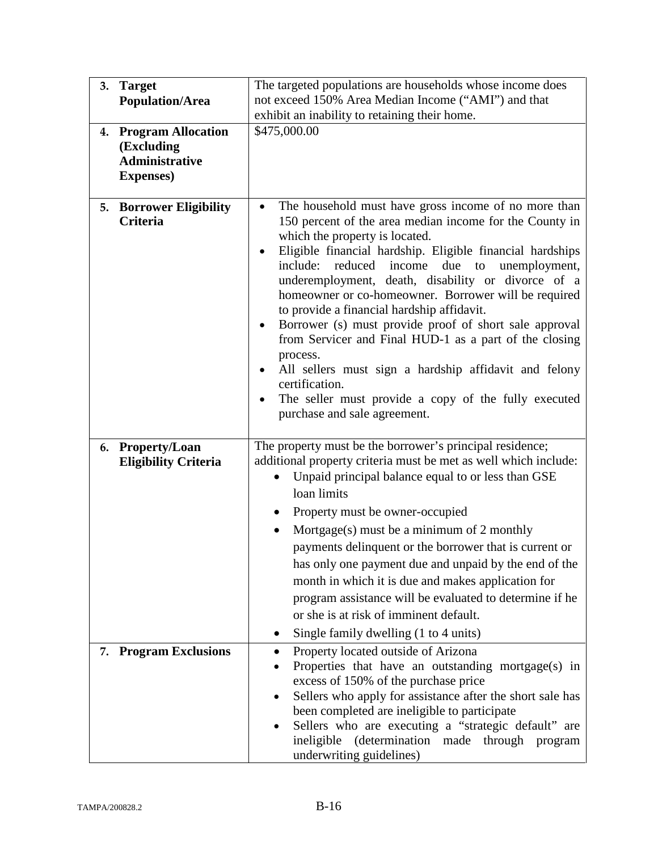| 3.<br>4. | <b>Target</b><br><b>Population/Area</b><br><b>Program Allocation</b><br>(Excluding | The targeted populations are households whose income does<br>not exceed 150% Area Median Income ("AMI") and that<br>exhibit an inability to retaining their home.<br>\$475,000.00                                                                                                                                                                                                                                                                                                                                                                                                                                                                                                                                                                                                                |  |  |
|----------|------------------------------------------------------------------------------------|--------------------------------------------------------------------------------------------------------------------------------------------------------------------------------------------------------------------------------------------------------------------------------------------------------------------------------------------------------------------------------------------------------------------------------------------------------------------------------------------------------------------------------------------------------------------------------------------------------------------------------------------------------------------------------------------------------------------------------------------------------------------------------------------------|--|--|
|          | <b>Administrative</b><br><b>Expenses</b> )                                         |                                                                                                                                                                                                                                                                                                                                                                                                                                                                                                                                                                                                                                                                                                                                                                                                  |  |  |
|          | <b>5. Borrower Eligibility</b><br><b>Criteria</b>                                  | The household must have gross income of no more than<br>$\bullet$<br>150 percent of the area median income for the County in<br>which the property is located.<br>Eligible financial hardship. Eligible financial hardships<br>$\bullet$<br>include:<br>reduced<br>income<br>due<br>unemployment,<br>to<br>underemployment, death, disability or divorce of a<br>homeowner or co-homeowner. Borrower will be required<br>to provide a financial hardship affidavit.<br>Borrower (s) must provide proof of short sale approval<br>$\bullet$<br>from Servicer and Final HUD-1 as a part of the closing<br>process.<br>All sellers must sign a hardship affidavit and felony<br>$\bullet$<br>certification.<br>The seller must provide a copy of the fully executed<br>purchase and sale agreement. |  |  |
|          | 6. Property/Loan<br><b>Eligibility Criteria</b>                                    | The property must be the borrower's principal residence;<br>additional property criteria must be met as well which include:<br>Unpaid principal balance equal to or less than GSE<br>loan limits<br>Property must be owner-occupied<br>$\bullet$<br>Mortgage(s) must be a minimum of 2 monthly<br>payments delinquent or the borrower that is current or<br>has only one payment due and unpaid by the end of the<br>month in which it is due and makes application for<br>program assistance will be evaluated to determine if he<br>or she is at risk of imminent default.<br>Single family dwelling (1 to 4 units)                                                                                                                                                                            |  |  |
|          | 7. Program Exclusions                                                              | Property located outside of Arizona<br>$\bullet$<br>Properties that have an outstanding mortgage(s) in<br>$\bullet$<br>excess of 150% of the purchase price<br>Sellers who apply for assistance after the short sale has<br>been completed are ineligible to participate<br>Sellers who are executing a "strategic default" are<br>(determination made through<br>ineligible<br>program<br>underwriting guidelines)                                                                                                                                                                                                                                                                                                                                                                              |  |  |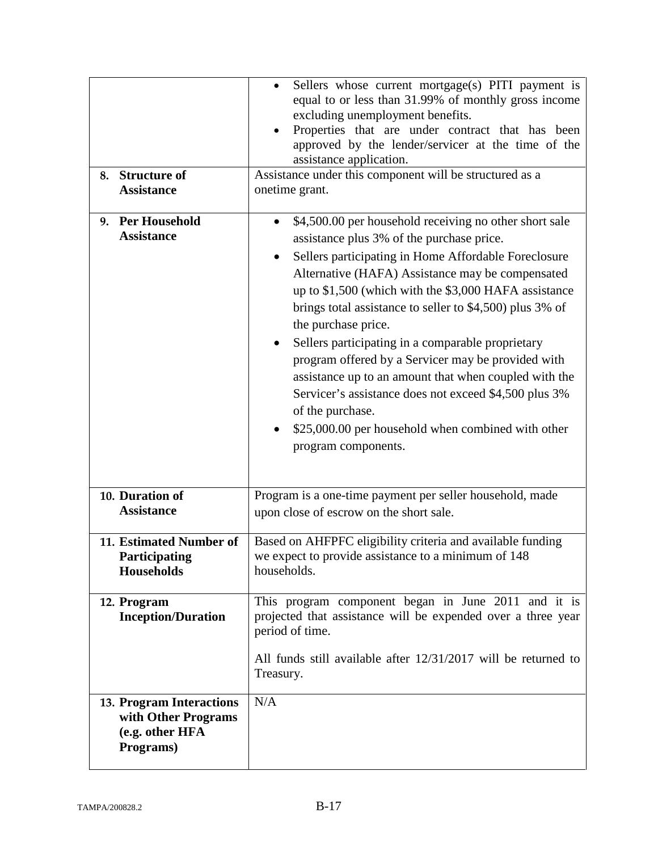| 8. Structure of<br><b>Assistance</b>                                            | Sellers whose current mortgage(s) PITI payment is<br>equal to or less than 31.99% of monthly gross income<br>excluding unemployment benefits.<br>Properties that are under contract that has been<br>approved by the lender/servicer at the time of the<br>assistance application.<br>Assistance under this component will be structured as a<br>onetime grant.                                                                                                                                                                                                                                                                                                                                        |  |
|---------------------------------------------------------------------------------|--------------------------------------------------------------------------------------------------------------------------------------------------------------------------------------------------------------------------------------------------------------------------------------------------------------------------------------------------------------------------------------------------------------------------------------------------------------------------------------------------------------------------------------------------------------------------------------------------------------------------------------------------------------------------------------------------------|--|
| <b>Per Household</b><br>9.<br><b>Assistance</b>                                 | \$4,500.00 per household receiving no other short sale<br>$\bullet$<br>assistance plus 3% of the purchase price.<br>Sellers participating in Home Affordable Foreclosure<br>Alternative (HAFA) Assistance may be compensated<br>up to \$1,500 (which with the \$3,000 HAFA assistance<br>brings total assistance to seller to \$4,500) plus 3% of<br>the purchase price.<br>Sellers participating in a comparable proprietary<br>program offered by a Servicer may be provided with<br>assistance up to an amount that when coupled with the<br>Servicer's assistance does not exceed \$4,500 plus 3%<br>of the purchase.<br>\$25,000.00 per household when combined with other<br>program components. |  |
| 10. Duration of<br><b>Assistance</b>                                            | Program is a one-time payment per seller household, made<br>upon close of escrow on the short sale.                                                                                                                                                                                                                                                                                                                                                                                                                                                                                                                                                                                                    |  |
| 11. Estimated Number of<br>Participating<br>Households                          | Based on AHFPFC eligibility criteria and available funding<br>we expect to provide assistance to a minimum of 148<br>households.                                                                                                                                                                                                                                                                                                                                                                                                                                                                                                                                                                       |  |
| 12. Program<br><b>Inception/Duration</b>                                        | This program component began in June 2011 and it is<br>projected that assistance will be expended over a three year<br>period of time.<br>All funds still available after 12/31/2017 will be returned to<br>Treasury.                                                                                                                                                                                                                                                                                                                                                                                                                                                                                  |  |
| 13. Program Interactions<br>with Other Programs<br>(e.g. other HFA<br>Programs) | N/A                                                                                                                                                                                                                                                                                                                                                                                                                                                                                                                                                                                                                                                                                                    |  |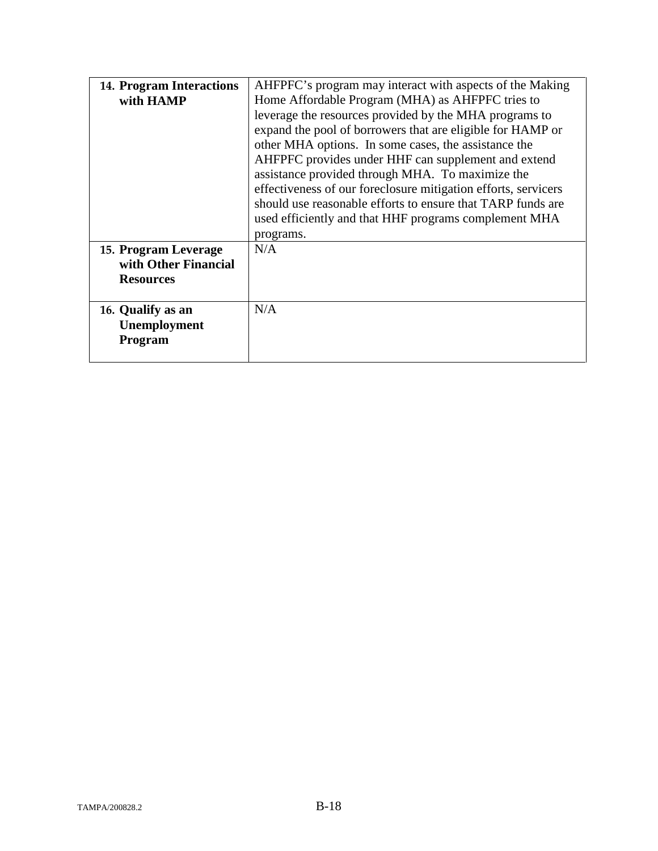| <b>14. Program Interactions</b><br>with HAMP                                                                     | AHFPFC's program may interact with aspects of the Making<br>Home Affordable Program (MHA) as AHFPFC tries to<br>leverage the resources provided by the MHA programs to<br>expand the pool of borrowers that are eligible for HAMP or<br>other MHA options. In some cases, the assistance the<br>AHFPFC provides under HHF can supplement and extend<br>assistance provided through MHA. To maximize the<br>effectiveness of our foreclosure mitigation efforts, servicers<br>should use reasonable efforts to ensure that TARP funds are<br>used efficiently and that HHF programs complement MHA<br>programs. |
|------------------------------------------------------------------------------------------------------------------|----------------------------------------------------------------------------------------------------------------------------------------------------------------------------------------------------------------------------------------------------------------------------------------------------------------------------------------------------------------------------------------------------------------------------------------------------------------------------------------------------------------------------------------------------------------------------------------------------------------|
| 15. Program Leverage<br>with Other Financial<br><b>Resources</b><br>16. Qualify as an<br>Unemployment<br>Program | N/A<br>N/A                                                                                                                                                                                                                                                                                                                                                                                                                                                                                                                                                                                                     |